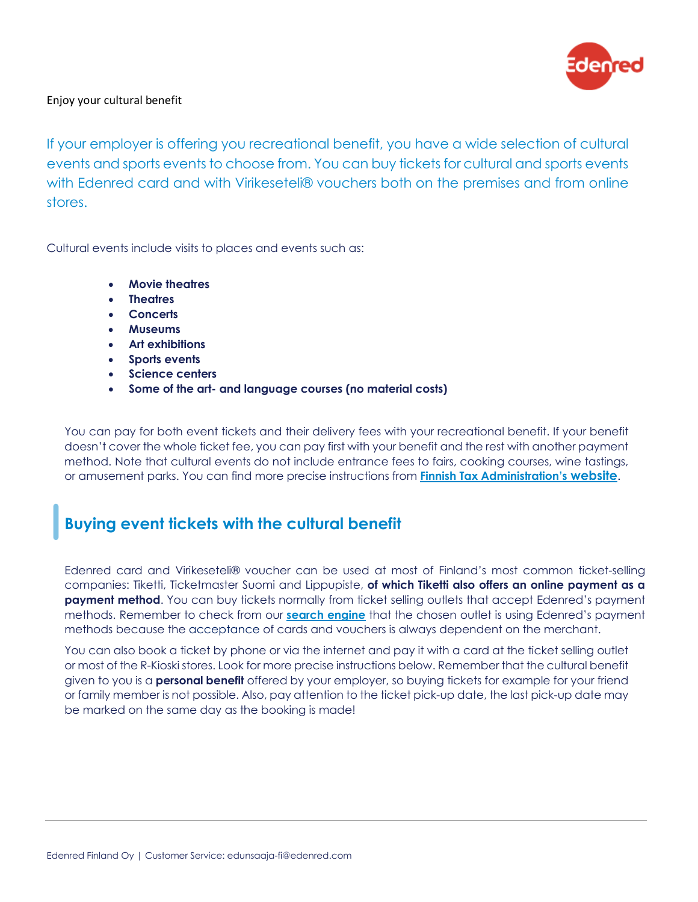

### Enjoy your cultural benefit

If your employer is offering you recreational benefit, you have a wide selection of cultural events and sports events to choose from. You can buy tickets for cultural and sports events with Edenred card and with Virikeseteli® vouchers both on the premises and from online stores.

Cultural events include visits to places and events such as:

- **Movie theatres**
- **Theatres**
- **Concerts**
- **Museums**
- **Art exhibitions**
- **Sports events**
- **Science centers**
- **Some of the art- and language courses (no material costs)**

You can pay for both event tickets and their delivery fees with your recreational benefit. If your benefit doesn't cover the whole ticket fee, you can pay first with your benefit and the rest with another payment method. Note that cultural events do not include entrance fees to fairs, cooking courses, wine tastings, or amusement parks. You can find more precise instructions from **[Finnish Tax Administration's](https://www.vero.fi/en/detailed-guidance/decisions/47380/in-kind-benefits-fringe-benefits-2021/) website**.

# **Buying event tickets with the cultural benefit**

Edenred card and Virikeseteli® voucher can be used at most of Finland's most common ticket-selling companies: Tiketti, Ticketmaster Suomi and Lippupiste, **of which Tiketti also offers an online payment as a payment method**. You can buy tickets normally from ticket selling outlets that accept Edenred's payment methods. Remember to check from our **[search engine](https://edenred.fi/en/search-places/)** that the chosen outlet is using Edenred's payment methods because the acceptance of cards and vouchers is always dependent on the merchant.

You can also book a ticket by phone or via the internet and pay it with a card at the ticket selling outlet or most of the R-Kioski stores. Look for more precise instructions below. Remember that the cultural benefit given to you is a **personal benefit** offered by your employer, so buying tickets for example for your friend or family member is not possible. Also, pay attention to the ticket pick-up date, the last pick-up date may be marked on the same day as the booking is made!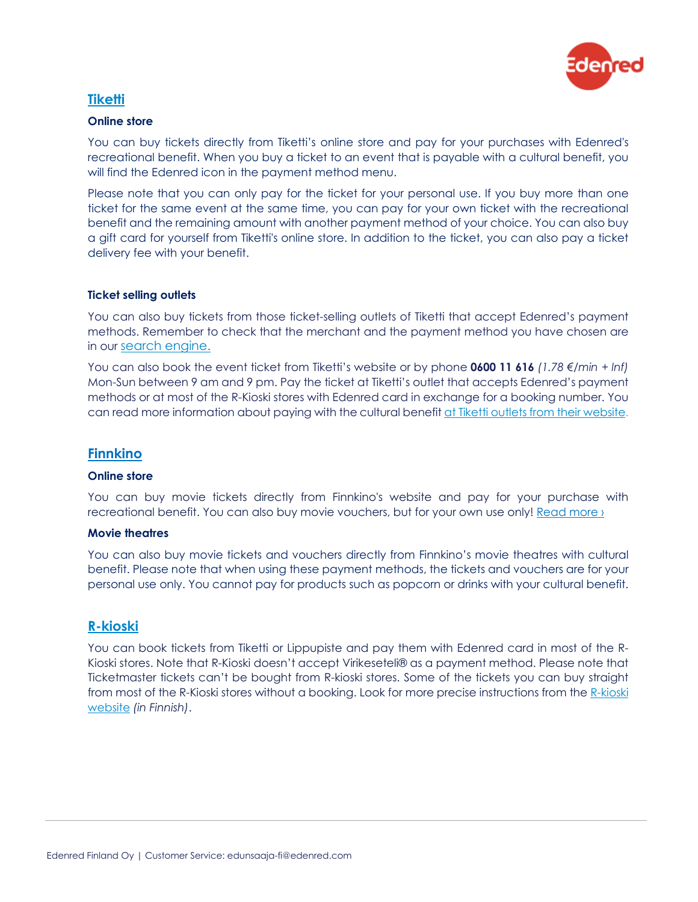

# **[Tiketti](https://www.tiketti.fi/en)**

#### **Online store**

You can buy tickets directly from Tiketti's online store and pay for your purchases with Edenred's recreational benefit. When you buy a ticket to an event that is payable with a cultural benefit, you will find the Edenred icon in the payment method menu.

Please note that you can only pay for the ticket for your personal use. If you buy more than one ticket for the same event at the same time, you can pay for your own ticket with the recreational benefit and the remaining amount with another payment method of your choice. You can also buy a gift card for yourself from Tiketti's online store. In addition to the ticket, you can also pay a ticket delivery fee with your benefit.

#### **Ticket selling outlets**

You can also buy tickets from those ticket-selling outlets of Tiketti that accept Edenred's payment methods. Remember to check that the merchant and the payment method you have chosen are in our [search engine.](https://edenred.fi/en/search-places/)

You can also book the event ticket from Tiketti's website or by phone **0600 11 616** *(1.78 €/min + lnf)* Mon-Sun between 9 am and 9 pm. Pay the ticket at Tiketti's outlet that accepts Edenred's payment methods or at most of the R-Kioski stores with Edenred card in exchange for a booking number. You can read more information about paying with the cultural benefit [at Tiketti outlets from their website.](http://www.tiketti.fi/en/info/culturalvouchers)

## **[Finnkino](https://www.finnkino.fi/en/)**

#### **Online store**

You can buy movie tickets directly from Finnkino's website and pay for your purchase with recreational benefit. You can also buy movie vouchers, but for your own use only! Read more  $\chi$ 

#### **Movie theatres**

You can also buy movie tickets and vouchers directly from Finnkino's movie theatres with cultural benefit. Please note that when using these payment methods, the tickets and vouchers are for your personal use only. You cannot pay for products such as popcorn or drinks with your cultural benefit.

# **[R-kioski](http://www.r-kioski.fi/)**

You can book tickets from Tiketti or Lippupiste and pay them with Edenred card in most of the R-Kioski stores. Note that R-Kioski doesn't accept Virikeseteli® as a payment method. Please note that Ticketmaster tickets can't be bought from R-kioski stores. Some of the tickets you can buy straight from most of the R-Kioski stores without a booking. Look for more precise instructions from the [R-kioski](http://www.r-kioski.fi/palvelut/tapahtumaliput/) [website](http://www.r-kioski.fi/palvelut/tapahtumaliput/) *(in Finnish)*.